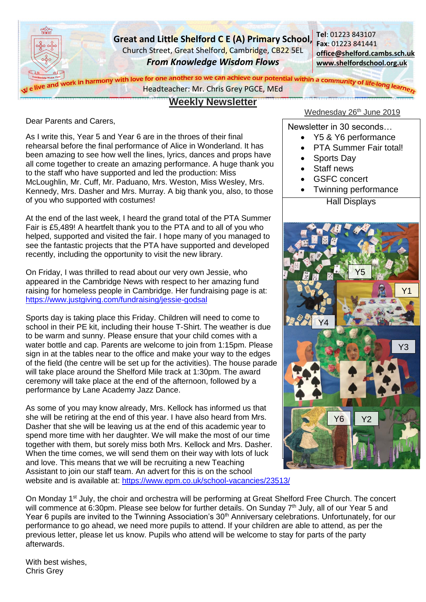

# **Weekly Newsletter**

Dear Parents and Carers,

As I write this, Year 5 and Year 6 are in the throes of their final rehearsal before the final performance of Alice in Wonderland. It has been amazing to see how well the lines, lyrics, dances and props have all come together to create an amazing performance. A huge thank you to the staff who have supported and led the production: Miss McLoughlin, Mr. Cuff, Mr. Paduano, Mrs. Weston, Miss Wesley, Mrs. Kennedy, Mrs. Dasher and Mrs. Murray. A big thank you, also, to those of you who supported with costumes!

At the end of the last week, I heard the grand total of the PTA Summer Fair is £5,489! A heartfelt thank you to the PTA and to all of you who helped, supported and visited the fair. I hope many of you managed to see the fantastic projects that the PTA have supported and developed recently, including the opportunity to visit the new library.

On Friday, I was thrilled to read about our very own Jessie, who appeared in the Cambridge News with respect to her amazing fund raising for homeless people in Cambridge. Her fundraising page is at: <https://www.justgiving.com/fundraising/jessie-godsal>

Sports day is taking place this Friday. Children will need to come to school in their PE kit, including their house T-Shirt. The weather is due to be warm and sunny. Please ensure that your child comes with a water bottle and cap. Parents are welcome to join from 1:15pm. Please sign in at the tables near to the office and make your way to the edges of the field (the centre will be set up for the activities). The house parade will take place around the Shelford Mile track at 1:30pm. The award ceremony will take place at the end of the afternoon, followed by a performance by Lane Academy Jazz Dance.

As some of you may know already, Mrs. Kellock has informed us that she will be retiring at the end of this year. I have also heard from Mrs. Dasher that she will be leaving us at the end of this academic year to spend more time with her daughter. We will make the most of our time together with them, but sorely miss both Mrs. Kellock and Mrs. Dasher. When the time comes, we will send them on their way with lots of luck and love. This means that we will be recruiting a new Teaching Assistant to join our staff team. An advert for this is on the school website and is available at:<https://www.epm.co.uk/school-vacancies/23513/> Wednesday 26<sup>th</sup> June 2019

Newsletter in 30 seconds…

- Y5 & Y6 performance
- PTA Summer Fair total!
- Sports Dav
- Staff news
- GSFC concert
- **Hall Displays** • Twinning performance



On Monday 1<sup>st</sup> July, the choir and orchestra will be performing at Great Shelford Free Church. The concert will commence at 6:30pm. Please see below for further details. On Sunday 7<sup>th</sup> July, all of our Year 5 and Year 6 pupils are invited to the Twinning Association's 30<sup>th</sup> Anniversary celebrations. Unfortunately, for our performance to go ahead, we need more pupils to attend. If your children are able to attend, as per the previous letter, please let us know. Pupils who attend will be welcome to stay for parts of the party afterwards.

With best wishes, Chris Grey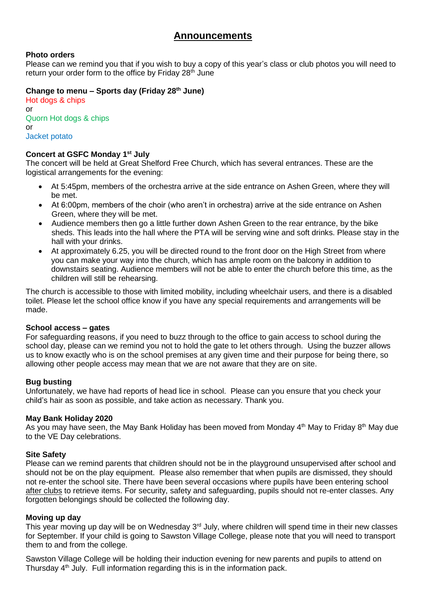# **Photo orders**

Please can we remind you that if you wish to buy a copy of this year's class or club photos you will need to return your order form to the office by Friday 28<sup>th</sup> June

# **Change to menu – Sports day (Friday 28th June)**

Hot dogs & chips or Quorn Hot dogs & chips or Jacket potato

# **Concert at GSFC Monday 1 st July**

The concert will be held at Great Shelford Free Church, which has several entrances. These are the logistical arrangements for the evening:

- At 5:45pm, members of the orchestra arrive at the side entrance on Ashen Green, where they will be met.
- At 6:00pm, members of the choir (who aren't in orchestra) arrive at the side entrance on Ashen Green, where they will be met.
- Audience members then go a little further down Ashen Green to the rear entrance, by the bike sheds. This leads into the hall where the PTA will be serving wine and soft drinks. Please stay in the hall with your drinks.
- At approximately 6.25, you will be directed round to the front door on the High Street from where you can make your way into the church, which has ample room on the balcony in addition to downstairs seating. Audience members will not be able to enter the church before this time, as the children will still be rehearsing.

The church is accessible to those with limited mobility, including wheelchair users, and there is a disabled toilet. Please let the school office know if you have any special requirements and arrangements will be made.

### **School access – gates**

For safeguarding reasons, if you need to buzz through to the office to gain access to school during the school day, please can we remind you not to hold the gate to let others through. Using the buzzer allows us to know exactly who is on the school premises at any given time and their purpose for being there, so allowing other people access may mean that we are not aware that they are on site.

# **Bug busting**

Unfortunately, we have had reports of head lice in school. Please can you ensure that you check your child's hair as soon as possible, and take action as necessary. Thank you.

### **May Bank Holiday 2020**

As you may have seen, the May Bank Holiday has been moved from Monday 4<sup>th</sup> May to Friday 8<sup>th</sup> May due to the VE Day celebrations.

### **Site Safety**

Please can we remind parents that children should not be in the playground unsupervised after school and should not be on the play equipment. Please also remember that when pupils are dismissed, they should not re-enter the school site. There have been several occasions where pupils have been entering school after clubs to retrieve items. For security, safety and safeguarding, pupils should not re-enter classes. Any forgotten belongings should be collected the following day.

### **Moving up day**

This year moving up day will be on Wednesday 3<sup>rd</sup> July, where children will spend time in their new classes for September. If your child is going to Sawston Village College, please note that you will need to transport them to and from the college.

Sawston Village College will be holding their induction evening for new parents and pupils to attend on Thursday  $4<sup>th</sup>$  July. Full information regarding this is in the information pack.